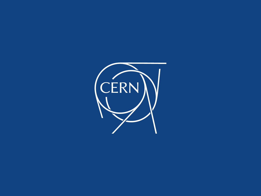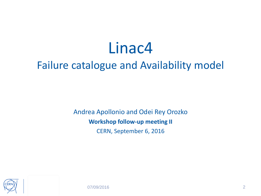# Linac4

### Failure catalogue and Availability model

Andrea Apollonio and Odei Rey Orozko **Workshop follow-up meeting II** CERN, September 6, 2016



07/09/2016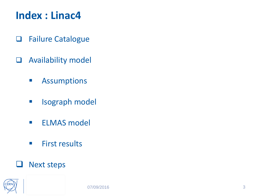## **Index : Linac4**

- Failure Catalogue
- Availability model
	- **Assumptions**
	- **In Isograph model**
	- **ELMAS** model
	- **First results**
- **Next steps**

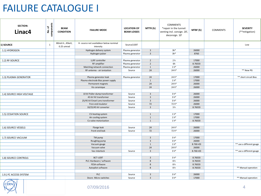### FAILURE CATALOGUE I

| <b>SECTION:</b><br>Linac4 | components<br>No. of | <b>BEAM</b><br><b>CONDITION</b> | <b>FAILURE MODE</b>                                  | <b>LOCATION OF</b><br><b>BEAM LOSSES</b> | MTTR(h)                 | <b>COMMENTS</b><br>*repair in the tunnel:<br>venting incl. consign. 20',<br>deconsign. 10' | MTBF (h) | <b>COMMENTS</b> | <b>SEVERITY</b><br>(**mitigation) |
|---------------------------|----------------------|---------------------------------|------------------------------------------------------|------------------------------------------|-------------------------|--------------------------------------------------------------------------------------------|----------|-----------------|-----------------------------------|
| 1) SOURCE                 | $\mathbf{1}$         | 80mA H-, 45keV,<br>0.25 umrad   | H- source not availableor below nominal<br>intensity | Source/LEBT                              |                         |                                                                                            |          |                 | Low                               |
| 1.1) HYDROGEN             |                      |                                 | Hydrogen delivery system                             | Plasma generator                         | $\overline{3}$          | $3h*$                                                                                      | 26000    |                 |                                   |
|                           |                      |                                 | Hydrogen pulser                                      | Plasma generator                         | $\overline{3}$          | $3h*$                                                                                      | 8760     |                 |                                   |
|                           |                      |                                 | LLRF controller                                      |                                          | $\overline{2}$          | 2 <sub>h</sub>                                                                             | 17000    |                 |                                   |
| 1.2) RF-SOURCE            |                      |                                 |                                                      | Plasma generator                         |                         |                                                                                            |          |                 |                                   |
|                           |                      |                                 | RF-amplifier                                         | Plasma generator                         | $\overline{2}$          | 6h                                                                                         | 8.76E03  |                 |                                   |
|                           |                      |                                 | Matching network connection                          | Plasma generator                         | $\mathbf{1}$            | $1 h*$                                                                                     | 26000    |                 |                                   |
|                           |                      |                                 | RF-antenna - air ionization                          | Source                                   | 24                      | 24 h*                                                                                      | 26000    |                 | ** New PG                         |
| 1.3) PLASMA GENERATOR     |                      |                                 | Plasma generator leak                                | Plasma generator                         | 24                      | 24 h*                                                                                      | 17000    |                 | ** short circuit Bias             |
|                           |                      |                                 | Plasma electrode Bias power supply                   |                                          | $\mathbf{1}$            | $1 h*$                                                                                     | 17000    |                 |                                   |
|                           |                      |                                 | Permanent magnets                                    |                                          | 24                      | 24 h*                                                                                      | 26000    |                 |                                   |
|                           |                      |                                 | Vis ceramique                                        |                                          | 24                      | 24 h*                                                                                      | 26000    |                 |                                   |
|                           |                      |                                 |                                                      |                                          |                         |                                                                                            |          |                 |                                   |
| 1.4) SOURCE HIGH VOLTAGE  |                      |                                 | 10 kV Puller-dump transformer                        | Source                                   | $\overline{3}$          | 3 <sup>h</sup>                                                                             | 26000    |                 |                                   |
|                           |                      |                                 | 45 kV HV transformer                                 | Source                                   | $\overline{3}$          | 3 <sup>h</sup>                                                                             | 26000    |                 |                                   |
|                           |                      |                                 | 25/45 kV Einzel Lens transformer                     | Source                                   | $\overline{3}$          | 3 <sup>h</sup>                                                                             | 26000    |                 |                                   |
|                           |                      |                                 | Fron-end insulator                                   | Source                                   | 72                      | 72 h*                                                                                      | 26000    |                 |                                   |
|                           |                      |                                 | 10/25/45 kV converter                                | Source                                   | $\overline{3}$          | 3 h                                                                                        | 8.76E03  |                 |                                   |
|                           |                      |                                 |                                                      |                                          |                         |                                                                                            |          |                 |                                   |
| 1.5) CESIATION SOURCE     |                      |                                 | CS-heating system                                    |                                          | $\mathbf{1}$            | $1 h*$                                                                                     | 17000    |                 |                                   |
|                           |                      |                                 | Air cooling system                                   |                                          | $\mathbf{1}$            | $1 h*$                                                                                     | 17000    |                 |                                   |
|                           |                      |                                 | Cs-valve motorization                                |                                          | $\mathbf{1}$            | $1 h*$                                                                                     | 8.76E03  |                 |                                   |
|                           |                      |                                 |                                                      | Source                                   | 24                      | 24 h*                                                                                      | 26000    |                 |                                   |
| 1.6) SOURCE VESSELS       |                      |                                 | Flange leak<br>Front-end leak                        |                                          | 72                      | 72 h*                                                                                      |          |                 |                                   |
|                           |                      |                                 |                                                      | Source                                   |                         |                                                                                            | 26000    |                 |                                   |
| 1.7) SOURCE VACUUM        |                      |                                 | TM pump                                              |                                          | $\overline{3}$          | 3 <sup>h</sup>                                                                             | 17000    |                 |                                   |
|                           |                      |                                 | Roughing pump                                        |                                          | $\overline{\mathbf{3}}$ | 3 <sup>h</sup>                                                                             | 26000    |                 |                                   |
|                           |                      |                                 | Vacuum gauge                                         |                                          | 1                       | $1 h*$                                                                                     | 8.76E+03 |                 | ** use a different gauge          |
|                           |                      |                                 | Vacuum valve                                         |                                          | 24                      | 24 h*                                                                                      | 26000    |                 |                                   |
|                           |                      |                                 | Vac-Interlock                                        | Source                                   | $\overline{3}$          | 3 <sup>h</sup>                                                                             | 8.76E+03 |                 | ** use a different gauge          |
|                           |                      |                                 |                                                      |                                          |                         |                                                                                            |          |                 |                                   |
| 1.8) SOURCE CONTROLS      |                      |                                 | <b>BCT-LEBT</b>                                      |                                          | $\overline{3}$          | 3 <sup>h</sup>                                                                             | 8.76E03  |                 |                                   |
|                           |                      |                                 | PLC-Hardware / software                              |                                          | 8                       | 8 h                                                                                        | 8.76E03  |                 |                                   |
|                           |                      |                                 | FESA-software                                        |                                          | 8                       | 8 h                                                                                        | 8.76E03  |                 |                                   |
|                           |                      |                                 | Autopilot software                                   |                                          | 8                       | 8 h                                                                                        | 8.76E03  |                 | ** Manual operation               |
|                           |                      |                                 |                                                      |                                          |                         |                                                                                            |          |                 |                                   |
| 1.9.) FC ACCESS SYSTEM    |                      |                                 | <b>PLC</b>                                           | Source                                   | $\overline{3}$          | 3 <sup>h</sup>                                                                             | 26000    |                 |                                   |
|                           |                      |                                 | Doors Micro-switches                                 | Source                                   | $\overline{3}$          | 3 <sup>h</sup>                                                                             | 17000    |                 | ** Manual operation               |

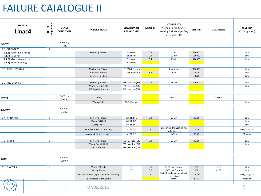### FAILURE CATALOGUE II

| <b>SECTION:</b><br>Linac4 | components<br>No. of | <b>BEAM</b><br><b>CONDITION</b> | <b>FAILURE MODE</b>                       | <b>LOCATION OF</b><br><b>BEAM LOSSES</b> | MTTR(h)      | <b>COMMENTS</b><br>*repair in the tunnel:<br>venting incl. consign. 20',<br>deconsign. 10' | MTBF(h) | <b>COMMENTS</b> | <b>SEVERITY</b><br>(**mitigation) |
|---------------------------|----------------------|---------------------------------|-------------------------------------------|------------------------------------------|--------------|--------------------------------------------------------------------------------------------|---------|-----------------|-----------------------------------|
| 2) LEBT                   |                      | 80mA H-,<br>45keV               |                                           |                                          |              |                                                                                            |         |                 |                                   |
| 2.1) SOLENOIDS            | $\overline{2}$       |                                 |                                           |                                          |              |                                                                                            |         |                 |                                   |
| 2.1.1) Power Electronics  |                      |                                 | Powering Failure                          | Solenoids                                | 0.4          | 23min                                                                                      | 100000  |                 | Low                               |
| 2.1.2) Controls           |                      |                                 |                                           | Solenoids                                | 0.4          | 23min                                                                                      | 200000  |                 | Low                               |
| 2.1.3) Measurement part   |                      |                                 |                                           | Solenoids                                | 0.4          | 23min                                                                                      | 200000  |                 | Low                               |
| 2.1.3) Water Cooling      |                      |                                 |                                           | Solenoids                                |              |                                                                                            |         |                 |                                   |
|                           |                      |                                 |                                           |                                          |              |                                                                                            |         |                 |                                   |
| 2.2) BEAM STOPPER         |                      |                                 | <b>Mechanical Failure</b>                 | TL, PSB Injection                        |              | few hours                                                                                  | 130000  |                 | Low                               |
|                           |                      |                                 | <b>Electronic Failure</b>                 | TL, PSB Injection                        | 1.5          | $1-2h$                                                                                     | 43000   |                 | Low                               |
|                           |                      |                                 | <b>Incorrect Position</b>                 |                                          |              |                                                                                            | 43000   |                 | Low                               |
|                           |                      |                                 |                                           |                                          |              |                                                                                            |         |                 |                                   |
| 2.3) PRE-CHOPPER          |                      |                                 | Powering Failure                          | PSB Injection (BIS)                      | 0.4          | 23 min                                                                                     | 270000  |                 | Low                               |
|                           |                      |                                 | Wrong Electric Field                      | PSB Injection (BIS)                      |              |                                                                                            |         |                 | Low                               |
|                           |                      |                                 | PSB Synchonization                        | PSB Injection (BIS)                      |              |                                                                                            |         |                 |                                   |
| 3) RFQ                    | $\mathbf{1}$         | 70mA H-,<br>3MeV                | Cooling                                   |                                          |              | few hrs                                                                                    |         | few years       |                                   |
|                           |                      |                                 | Wrong Field                               | RFQ, Chopper                             |              |                                                                                            |         |                 | Low                               |
|                           |                      |                                 |                                           |                                          |              |                                                                                            |         |                 |                                   |
| 4) MEBT                   |                      | 70mA H-,<br>3MeV                |                                           |                                          |              |                                                                                            |         |                 |                                   |
| 4.1) BUNCHER              | $\mathbf{1}$         |                                 | Powering Failure                          | MEBT, DTL                                | 0.4          | 23min                                                                                      | 26700   |                 | Low                               |
|                           |                      |                                 | Wrong EM Field                            | MEBT, DTL                                |              |                                                                                            |         |                 | Low                               |
|                           |                      |                                 | Wrong Phase                               | MEBT, DTL                                |              |                                                                                            |         |                 | Low                               |
|                           |                      |                                 | Movable Tuner not working                 | MEBT, DTL                                | $\mathbf 1$  | 1 hr (unless the vacuum has<br>to be broken)                                               | 26000   |                 | Low/Marginal                      |
|                           |                      |                                 | Vacuum leak in the cavity                 | MEBT, DTL                                |              | hrs/days                                                                                   | 8760    |                 | Marginal                          |
|                           |                      |                                 |                                           |                                          |              |                                                                                            |         |                 |                                   |
| 4.2) CHOPPER              | 1                    |                                 | Powering Failure                          | PSB Injection (DIS)                      | 0.4          | 23min                                                                                      | 26700   |                 | Low                               |
|                           |                      |                                 | Wrong Electric Field                      | PSB Injection (DIS)                      |              |                                                                                            |         |                 | Low                               |
|                           |                      |                                 | Synchronization                           | PSB Injection (DIS)                      |              |                                                                                            |         |                 |                                   |
|                           |                      |                                 |                                           |                                          |              |                                                                                            |         |                 |                                   |
|                           |                      |                                 |                                           |                                          |              |                                                                                            |         |                 |                                   |
| 5) DTL                    |                      | 40mA H-,<br>50MeV               |                                           |                                          |              |                                                                                            |         |                 |                                   |
|                           | $\overline{3}$       |                                 |                                           |                                          |              |                                                                                            |         |                 |                                   |
| 5.1) CAVITIES             |                      |                                 | Wrong EM Field                            | DTL                                      | 0.5          | 15-30 min for reset<br>15-30 min for reset                                                 | 168     | < 168           | Low                               |
|                           |                      |                                 | Wrong Phase                               | DTL                                      | 0.5          | 1 h (unless the vacuum has to                                                              | 168     | < 168           | Low                               |
|                           |                      |                                 | Movable Tuners (2 per cavity) not working | <b>DTL</b>                               | $\mathbf{1}$ | be broken)                                                                                 | 26000   |                 | Low/Marginal                      |
|                           |                      |                                 | Vacuum leak in the cavity                 | DTL                                      |              | h/days                                                                                     | 8760    |                 | Marginal                          |
|                           |                      |                                 |                                           |                                          |              |                                                                                            |         |                 |                                   |
| <b>CERN</b>               |                      |                                 | 07/09/2016                                |                                          |              |                                                                                            |         |                 | 5                                 |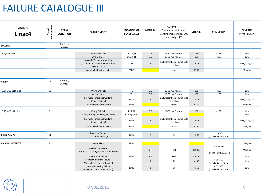### FAILURE CATALOGUE III

| <b>SECTION:</b><br>Linac4 | components<br>No. of | <b>BEAM</b><br><b>CONDITION</b> | <b>FAILURE MODE</b>                                                                  | <b>LOCATION OF</b><br><b>BEAM LOSSES</b> | MTTR(h)        | <b>COMMENTS</b><br>*repair in the tunnel:<br>venting incl. consign. 20',<br>deconsign. 10' | MTBF(h) | <b>COMMENTS</b>                          | <b>SEVERITY</b><br>(**mitigation) |
|---------------------------|----------------------|---------------------------------|--------------------------------------------------------------------------------------|------------------------------------------|----------------|--------------------------------------------------------------------------------------------|---------|------------------------------------------|-----------------------------------|
| 6) CCDTL                  |                      | 40mA H-,<br>100MeV              |                                                                                      |                                          |                |                                                                                            |         |                                          |                                   |
|                           |                      |                                 |                                                                                      |                                          |                |                                                                                            |         |                                          |                                   |
| 6.1) CAVITIES             | $\overline{7}$       |                                 | Wrong EM Field                                                                       | CCDTL,TL                                 | 0.5            | 15-30 min for reset                                                                        | 168     | < 168                                    | Low                               |
|                           |                      |                                 | Wrong phase                                                                          | CCDTL,TL                                 | 0.5            | 15-30 min for reset                                                                        | 168     | $168$                                    | Low                               |
|                           |                      |                                 | Movable Tuners not working<br>(1 per cavity for the first 5 modules,<br>otherwise 2) | <b>CCDTL</b>                             | $\mathbf{1}$   | 1 h (unless the vacuum has to<br>be broken)                                                | 26000   |                                          | Low/Marginal                      |
|                           |                      |                                 | Vacuum leak in the cavity                                                            | <b>CCDTL</b>                             |                | h/days                                                                                     | 8760    |                                          | Marginal                          |
|                           |                      |                                 |                                                                                      |                                          |                |                                                                                            |         |                                          |                                   |
|                           |                      |                                 |                                                                                      |                                          |                |                                                                                            |         |                                          |                                   |
| 7) PIMS                   | 12                   | 40mA H-,<br>160MeV              |                                                                                      |                                          |                |                                                                                            |         |                                          |                                   |
| 7.1) MODULES 1-10         | 10                   |                                 | Wrong EM Field                                                                       | TL                                       | 0.5            | 15-30 min for reset                                                                        | 168     | $168$                                    |                                   |
|                           |                      |                                 |                                                                                      | TL                                       | 0.5            | 15-30 min for reset                                                                        | 168     | < 168                                    | Low<br>Low                        |
|                           |                      |                                 | Wrong phase<br>Movable Tuners not working<br>(2 per cavitys)                         | PIMS                                     | $\mathbf{1}$   | 1 h (unless the vacuum has to<br>be broken)                                                | 26000   |                                          | Low/Marginal                      |
|                           |                      |                                 | Vacuum leak in the cavity                                                            | PIMS                                     |                | h/days                                                                                     | 8760    |                                          | Marginal                          |
|                           |                      |                                 |                                                                                      |                                          |                |                                                                                            |         |                                          |                                   |
| 7.2) MODULES 11-12        | $\overline{2}$       |                                 | Wrong EM Field                                                                       | <b>BHZ.21</b>                            | 0.5            | 15-30 min for reset                                                                        | 168     | < 169                                    | Low                               |
|                           |                      |                                 | Wrong Voltage for Energy Painting                                                    | PSB Injection                            |                |                                                                                            |         |                                          | Low                               |
|                           |                      |                                 | Movable Tuners not working<br>(2 per cavitys)                                        | PIMS                                     | $1\,$          | 1 h (unless the vacuum has to<br>be broken)                                                | 26000   |                                          | Low/Marginal                      |
|                           |                      |                                 | Vacuum leak in the cavity                                                            | PIMS                                     |                | h/days                                                                                     | 8760    |                                          | Marginal                          |
|                           |                      |                                 |                                                                                      |                                          |                |                                                                                            |         |                                          |                                   |
| 8) ION PUMPS              | 49                   |                                 | Powering failure<br>(1002 Redundancy)                                                | Linac                                    | $\overline{2}$ | 2h                                                                                         | 4392    | 1/[6m]<br>(checked every 24h)            |                                   |
|                           |                      |                                 |                                                                                      |                                          |                |                                                                                            |         |                                          |                                   |
| 9) VACUUM VALVES          | 9                    |                                 | Vacuum Leak                                                                          | Linac                                    |                |                                                                                            |         |                                          | Marginal                          |
|                           |                      |                                 | <b>Mechanical Failure</b><br>(Compressed Air System) + Vacuum Leak                   |                                          | 24             | >24h                                                                                       | 130000  | $< 1.3E + 0.5$<br>(RELIAB: 50000 cycles) | Marginal                          |
|                           |                      |                                 | <b>Electronics Failure</b>                                                           | Linac                                    | 1.5            | $1-2h$                                                                                     | 43000   |                                          | Low                               |
|                           |                      |                                 | Sensor/Powering Failure<br>(Valve closes when not asked)                             |                                          | $\overline{2}$ | 2h                                                                                         | 4350    | 4.35E+03<br>(checked every 24h)          | Low                               |
|                           |                      |                                 | Sensor/Powering Failure<br>(Valve not closed when asked)                             | Linac                                    | $\overline{2}$ | 2h                                                                                         | 4350    | 4.35E+03<br>(checked every 24h)          | Low                               |

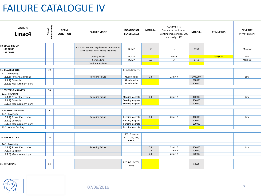### FAILURE CATALOGUE IV

| <b>SECTION:</b><br>Linac4                              | components<br>No. of | <b>BEAM</b><br><b>CONDITION</b> | <b>FAILURE MODE</b>                                                                | <b>LOCATION OF</b><br><b>BEAM LOSSES</b>         | MTTR(h) | <b>COMMENTS</b><br>*repair in the tunnel:<br>venting incl. consign. 20',<br>deconsign. 10' | MTBF(h) | <b>COMMENTS</b> | <b>SEVERITY</b><br>(**mitigation) |
|--------------------------------------------------------|----------------------|---------------------------------|------------------------------------------------------------------------------------|--------------------------------------------------|---------|--------------------------------------------------------------------------------------------|---------|-----------------|-----------------------------------|
| 10) LINAC 4 DUMP<br><b>LBE DUMP</b><br><b>LBS DUMP</b> |                      |                                 | Vacuum Leak reaching the Peak Temperature<br>Area, several pulses hitting the dump | <b>DUMP</b>                                      | 168     | 1w                                                                                         | 8760    |                 | Marginal                          |
|                                                        |                      |                                 | <b>Cooling Failure</b>                                                             | <b>DUMP</b>                                      |         | few h                                                                                      |         | few years       | Low                               |
|                                                        |                      |                                 | Core Failure                                                                       | <b>DUMP</b>                                      | 168     | 1w                                                                                         | 8760    |                 | Marginal                          |
|                                                        |                      |                                 | Sufficient Air Leak                                                                |                                                  |         |                                                                                            |         |                 |                                   |
|                                                        |                      |                                 |                                                                                    |                                                  |         |                                                                                            |         |                 |                                   |
| 11) QUADRUPOLES                                        | 49                   |                                 |                                                                                    | BHZ.30, Linac, TL                                |         |                                                                                            |         |                 |                                   |
| 11.1) Powering                                         |                      |                                 |                                                                                    |                                                  |         |                                                                                            |         |                 |                                   |
| 11.1.1) Power Electronics                              |                      |                                 | Powering Failure                                                                   | Quadrupoles                                      | 0.4     | 23min ?                                                                                    | 1000000 |                 | Low                               |
| 11.1.2) Controls                                       |                      |                                 |                                                                                    | Quadrupoles                                      |         |                                                                                            | 200000  |                 |                                   |
| 11.1.3) Measurement part                               |                      |                                 |                                                                                    | Quadrupoles                                      |         |                                                                                            | 200000  |                 |                                   |
| 12) STEERING MAGNETS                                   | 50                   |                                 |                                                                                    |                                                  |         |                                                                                            |         |                 |                                   |
| 12.1) Powering                                         |                      |                                 |                                                                                    |                                                  |         |                                                                                            |         |                 |                                   |
| 12.1.1) Power Electronics                              |                      |                                 | Powering Failure                                                                   | Steering magnets                                 | 0.4     | 23min ?                                                                                    | 100000  |                 | Low                               |
| 12.1.2) Controls                                       |                      |                                 |                                                                                    | Steering magnets                                 |         |                                                                                            | 200000  |                 |                                   |
| 12.1.3) Measurement part                               |                      |                                 |                                                                                    | Steering magnets                                 |         |                                                                                            | 200000  |                 |                                   |
|                                                        |                      |                                 |                                                                                    |                                                  |         |                                                                                            |         |                 |                                   |
| 13) BENDING MAGNETS                                    | $\overline{2}$       |                                 |                                                                                    |                                                  |         |                                                                                            |         |                 |                                   |
| 13.1) Powering                                         |                      |                                 |                                                                                    |                                                  |         |                                                                                            |         |                 |                                   |
| 13.1.1) Power Electronics                              |                      |                                 | Powering Failure                                                                   | <b>Bending magnets</b>                           | 0.4     | $23min$ ?                                                                                  | 100000  |                 | Low                               |
| 13.1.2) Controls                                       |                      |                                 |                                                                                    | Bending magnets                                  |         |                                                                                            | 200000  |                 |                                   |
| 13.1.3) Measurement part                               |                      |                                 |                                                                                    | Bending magnets                                  |         |                                                                                            | 200000  |                 |                                   |
| 13.2) Water Cooling                                    |                      |                                 |                                                                                    | Bending magnets                                  |         |                                                                                            |         |                 |                                   |
| 14) MODULATORS                                         | 14                   |                                 |                                                                                    | RFQ, Chooper,<br>CCDTL,TL, DTL,<br><b>BHZ.20</b> |         |                                                                                            |         |                 |                                   |
| 14.1) Powering                                         |                      |                                 |                                                                                    |                                                  |         |                                                                                            |         |                 |                                   |
| 14.1.1) Power Electronics                              |                      |                                 | Powering Failure                                                                   |                                                  | 0.4     | 23min ?                                                                                    | 100000  |                 | Low                               |
| 14.1.2) Controls                                       |                      |                                 |                                                                                    |                                                  | 0.4     | 23min ?                                                                                    | 200000  |                 |                                   |
| 14.1.3) Measurement part                               |                      |                                 |                                                                                    |                                                  | 0.4     | 23min ?                                                                                    | 200000  |                 |                                   |
| 15) KLYSTRONS                                          | 14                   |                                 |                                                                                    | RFQ, DTL, CCDTL,<br>PIMS                         |         |                                                                                            | 50000   |                 |                                   |

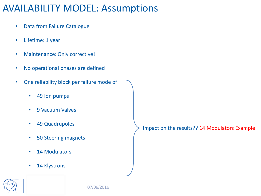### AVAILABILITY MODEL: Assumptions

- Data from Failure Catalogue
- Lifetime: 1 year
- Maintenance: Only corrective!
- No operational phases are defined
- One reliability block per failure mode of:
	- 49 Ion pumps
	- 9 Vacuum Valves
	- 49 Quadrupoles
	- 50 Steering magnets
	- 14 Modulators
	- 14 Klystrons

Impact on the results?? 14 Modulators Example



07/09/2016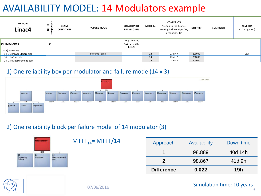### AVAILABILITY MODEL: 14 Modulators example

| <b>SECTION:</b><br>Linac4 | components<br>ኄ<br>£. | <b>BEAM</b><br><b>CONDITION</b> | <b>FAILURE MODE</b> | <b>LOCATION OF</b><br><b>BEAM LOSSES</b>         | MTTR(h) | COMMENTS<br>*repair in the tunnel:<br>venting incl. consign. 20',<br>deconsign. 10' | MTBF(h) | <b>COMMENTS</b> | <b>SEVERITY</b><br>(**mitigation) |
|---------------------------|-----------------------|---------------------------------|---------------------|--------------------------------------------------|---------|-------------------------------------------------------------------------------------|---------|-----------------|-----------------------------------|
| <b>14) MODULATORS</b>     | 14                    |                                 |                     | RFQ, Chooper,<br>CCDTL,TL, DTL,<br><b>BHZ.20</b> |         |                                                                                     |         |                 |                                   |
| 14.1) Powering            |                       |                                 |                     |                                                  |         |                                                                                     |         |                 |                                   |
| 14.1.1) Power Electronics |                       |                                 | Powering Failure    |                                                  | 0.4     | $23min$ ?                                                                           | 100000  |                 | Low                               |
| 14.1.2) Controls          |                       |                                 |                     |                                                  | 0.4     | $23min$ ?                                                                           | 200000  |                 |                                   |
| 14.1.3) Measurement part  |                       |                                 |                     |                                                  | 0.4     | $23min$ ?                                                                           | 200000  |                 |                                   |

#### 1) One reliability box per modulator and failure mode (14 x 3)



#### 2) One reliability block per failure mode of 14 modulator (3)

| Modulators 14 |    | $MTTF_{14} = MTT$ |
|---------------|----|-------------------|
| ΩR            | 85 |                   |
|               |    |                   |

|                       | <b>Difference</b> | 0.022        | <b>19h</b> |
|-----------------------|-------------------|--------------|------------|
|                       |                   | 98.867       | 41d 9h     |
|                       |                   | 98.889       | 40d 14h    |
| $MTTF_{14}$ = MTTF/14 | Approach          | Availability | Down time  |

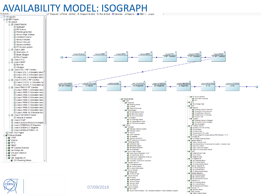### $\text{AVAILABIL}$  Diagram  $\text{PODE}$  . ISOGRAPH

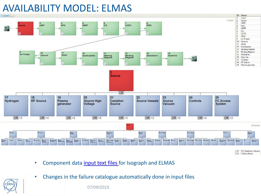# AVAILABILITY MODEL: ELMAS



53 FESA-software

- Component data [input text files](../Simulation software/Linac4_Isograph/Linac4_FC_ModelsData.xlsx) for Isograph and ELMAS
- [Changes in the failure catalogue automatically done in input files](../Simulation software/Linac4_Isograph/Linac4_FC_ModelsData.xlsx)



ERN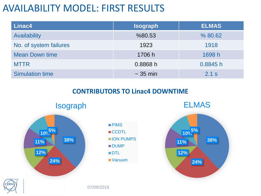### AVAILABILITY MODEL: FIRST RESULTS

| <b>Linac4</b>          | <b>Isograph</b> | <b>ELMAS</b> |
|------------------------|-----------------|--------------|
| <b>Availability</b>    | %80.53          | % 80.62      |
| No. of system failures | 1923            | 1918         |
| <b>Mean Down time</b>  | 1706 h          | 1698 h       |
| <b>MTTR</b>            | 0.8868h         | 0.8845h      |
| <b>Simulation time</b> | $\sim$ 35 min   | 2.1 s        |

#### **CONTRIBUTORS TO Linac4 DOWNTIME**



| $\blacksquare$ PIMS        |
|----------------------------|
| $\blacksquare$ $\sf CCDTL$ |
| <b>ION PUMPS</b>           |
| ∎DUMP                      |
| ∎DTI                       |
| $\blacksquare$ Vacuum      |
|                            |

ELMAS





07/09/2016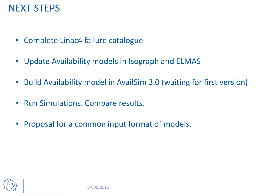### NEXT STEPS

- Complete Linac4 failure catalogue
- Update Availability models in Isograph and ELMAS
- Build Availability model in AvailSim 3.0 (waiting for first version)
- Run Simulations. Compare results.
- Proposal for a common input format of models.